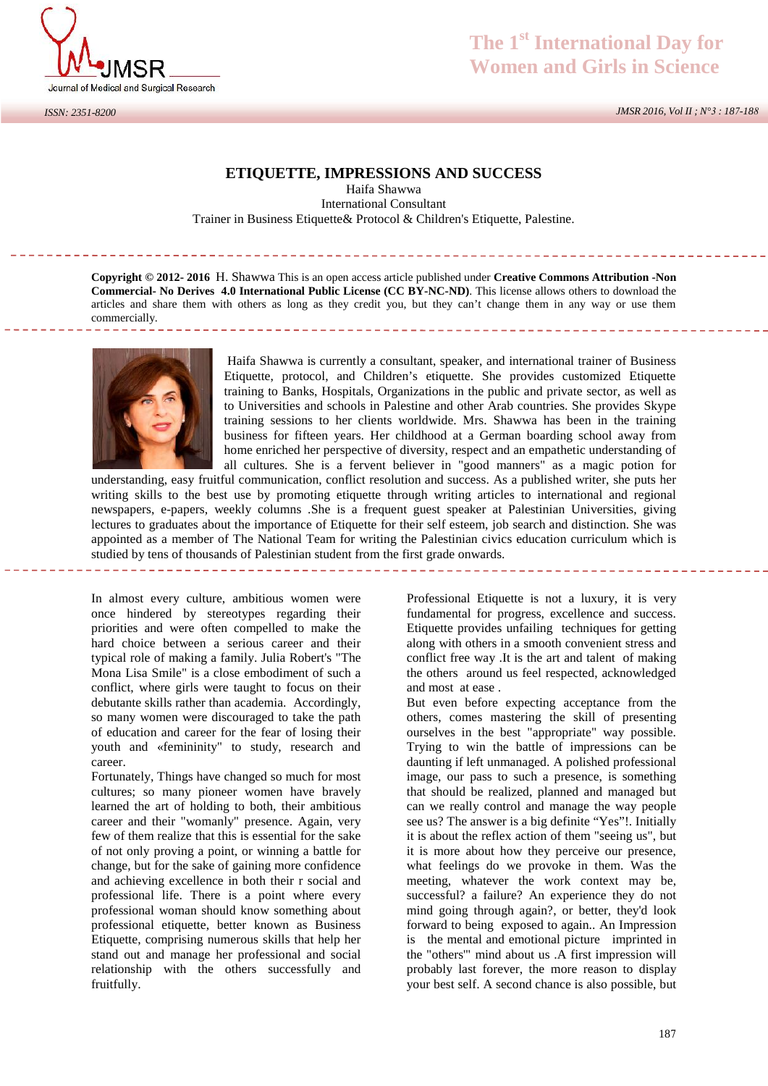

## *ISSN: 2351-8200*

## **The 1st International Day for Women and Girls in Science**

*JMSR 2016, Vol II ; N°3 : 187-188*

## **ETIQUETTE, IMPRESSIONS AND SUCCESS**

Haifa Shawwa International Consultant Trainer in Business Etiquette& Protocol & Children's Etiquette, Palestine.

**Copyright © 2012- 2016** H. Shawwa This is an open access article published under **Creative Commons Attribution -Non Commercial- No Derives 4.0 International Public License (CC BY-NC-ND)**. This license allows others to download the articles and share them with others as long as they credit you, but they can't change them in any way or use them commercially. 



Haifa Shawwa is currently a consultant, speaker, and international trainer of Business Etiquette, protocol, and Children's etiquette. She provides customized Etiquette training to Banks, Hospitals, Organizations in the public and private sector, as well as to Universities and schools in Palestine and other Arab countries. She provides Skype training sessions to her clients worldwide. Mrs. Shawwa has been in the training business for fifteen years. Her childhood at a German boarding school away from home enriched her perspective of diversity, respect and an empathetic understanding of all cultures. She is a fervent believer in "good manners" as a magic potion for

understanding, easy fruitful communication, conflict resolution and success. As a published writer, she puts her writing skills to the best use by promoting etiquette through writing articles to international and regional newspapers, e-papers, weekly columns .She is a frequent guest speaker at Palestinian Universities, giving lectures to graduates about the importance of Etiquette for their self esteem, job search and distinction. She was appointed as a member of The National Team for writing the Palestinian civics education curriculum which is studied by tens of thousands of Palestinian student from the first grade onwards.

In almost every culture, ambitious women were once hindered by stereotypes regarding their priorities and were often compelled to make the hard choice between a serious career and their typical role of making a family. Julia Robert's "The Mona Lisa Smile" is a close embodiment of such a conflict, where girls were taught to focus on their debutante skills rather than academia. Accordingly, so many women were discouraged to take the path of education and career for the fear of losing their youth and «femininity" to study, research and career.

Fortunately, Things have changed so much for most cultures; so many pioneer women have bravely learned the art of holding to both, their ambitious career and their "womanly" presence. Again, very few of them realize that this is essential for the sake of not only proving a point, or winning a battle for change, but for the sake of gaining more confidence and achieving excellence in both their r social and professional life. There is a point where every professional woman should know something about professional etiquette, better known as Business Etiquette, comprising numerous skills that help her stand out and manage her professional and social relationship with the others successfully and fruitfully.

Professional Etiquette is not a luxury, it is very fundamental for progress, excellence and success. Etiquette provides unfailing techniques for getting along with others in a smooth convenient stress and conflict free way .It is the art and talent of making the others around us feel respected, acknowledged and most at ease .

But even before expecting acceptance from the others, comes mastering the skill of presenting ourselves in the best "appropriate" way possible. Trying to win the battle of impressions can be daunting if left unmanaged. A polished professional image, our pass to such a presence, is something that should be realized, planned and managed but can we really control and manage the way people see us? The answer is a big definite "Yes"!. Initially it is about the reflex action of them "seeing us", but it is more about how they perceive our presence, what feelings do we provoke in them. Was the meeting, whatever the work context may be, successful? a failure? An experience they do not mind going through again?, or better, they'd look forward to being exposed to again.. An Impression is the mental and emotional picture imprinted in the "others'" mind about us .A first impression will probably last forever, the more reason to display your best self. A second chance is also possible, but